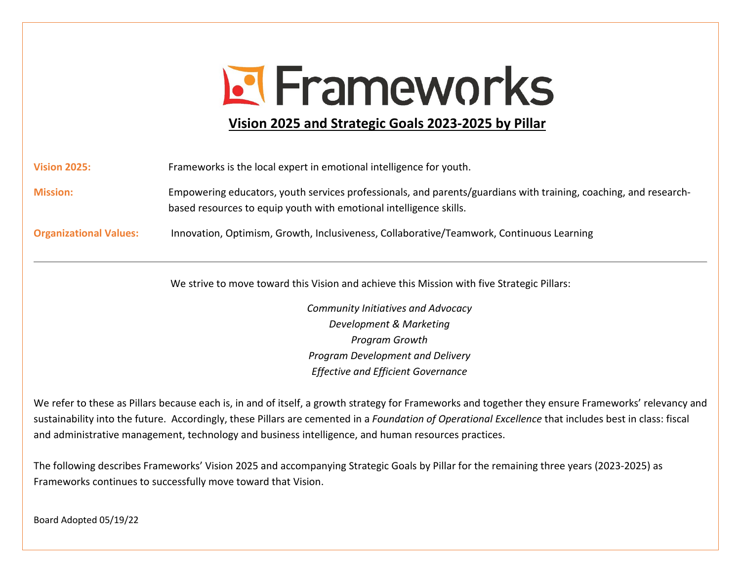# **E** Frameworks

# **Vision 2025 and Strategic Goals 2023-2025 by Pillar**

**Mission:** Empowering educators, youth services professionals, and parents/guardians with training, coaching, and researchbased resources to equip youth with emotional intelligence skills.

**Organizational Values:** Innovation, Optimism, Growth, Inclusiveness, Collaborative/Teamwork, Continuous Learning

We strive to move toward this Vision and achieve this Mission with five Strategic Pillars:

*Community Initiatives and Advocacy Development & Marketing Program Growth Program Development and Delivery Effective and Efficient Governance*

We refer to these as Pillars because each is, in and of itself, a growth strategy for Frameworks and together they ensure Frameworks' relevancy and sustainability into the future. Accordingly, these Pillars are cemented in a *Foundation of Operational Excellence* that includes best in class: fiscal and administrative management, technology and business intelligence, and human resources practices.

The following describes Frameworks' Vision 2025 and accompanying Strategic Goals by Pillar for the remaining three years (2023-2025) as Frameworks continues to successfully move toward that Vision.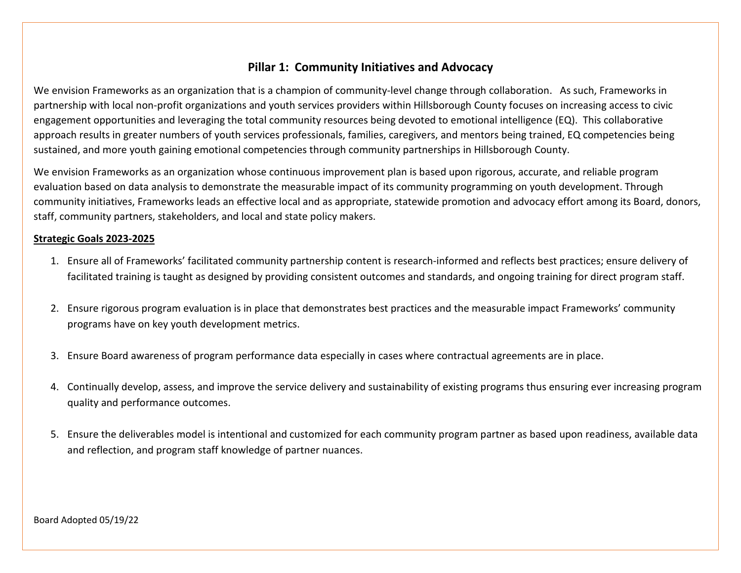## **Pillar 1: Community Initiatives and Advocacy**

We envision Frameworks as an organization that is a champion of community-level change through collaboration. As such, Frameworks in partnership with local non-profit organizations and youth services providers within Hillsborough County focuses on increasing access to civic engagement opportunities and leveraging the total community resources being devoted to emotional intelligence (EQ). This collaborative approach results in greater numbers of youth services professionals, families, caregivers, and mentors being trained, EQ competencies being sustained, and more youth gaining emotional competencies through community partnerships in Hillsborough County.

We envision Frameworks as an organization whose continuous improvement plan is based upon rigorous, accurate, and reliable program evaluation based on data analysis to demonstrate the measurable impact of its community programming on youth development. Through community initiatives, Frameworks leads an effective local and as appropriate, statewide promotion and advocacy effort among its Board, donors, staff, community partners, stakeholders, and local and state policy makers.

#### **Strategic Goals 2023-2025**

- 1. Ensure all of Frameworks' facilitated community partnership content is research-informed and reflects best practices; ensure delivery of facilitated training is taught as designed by providing consistent outcomes and standards, and ongoing training for direct program staff.
- 2. Ensure rigorous program evaluation is in place that demonstrates best practices and the measurable impact Frameworks' community programs have on key youth development metrics.
- 3. Ensure Board awareness of program performance data especially in cases where contractual agreements are in place.
- 4. Continually develop, assess, and improve the service delivery and sustainability of existing programs thus ensuring ever increasing program quality and performance outcomes.
- 5. Ensure the deliverables model is intentional and customized for each community program partner as based upon readiness, available data and reflection, and program staff knowledge of partner nuances.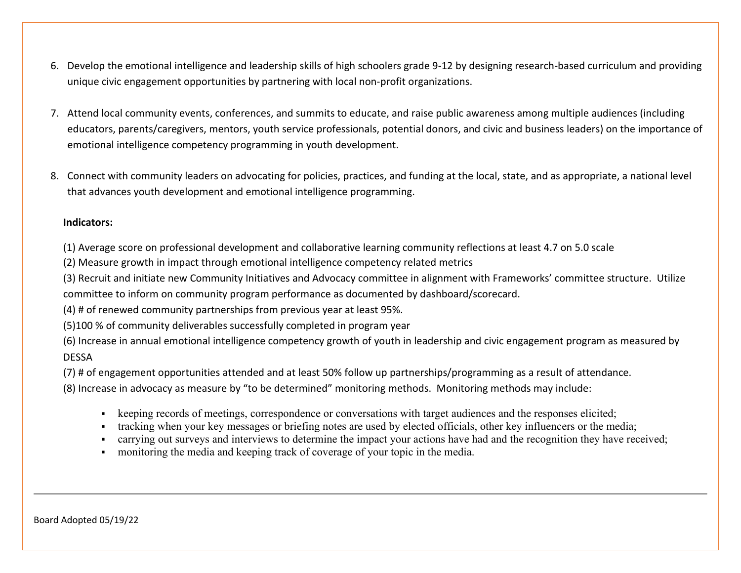- 6. Develop the emotional intelligence and leadership skills of high schoolers grade 9-12 by designing research-based curriculum and providing unique civic engagement opportunities by partnering with local non-profit organizations.
- 7. Attend local community events, conferences, and summits to educate, and raise public awareness among multiple audiences (including educators, parents/caregivers, mentors, youth service professionals, potential donors, and civic and business leaders) on the importance of emotional intelligence competency programming in youth development.
- 8. Connect with community leaders on advocating for policies, practices, and funding at the local, state, and as appropriate, a national level that advances youth development and emotional intelligence programming.

(1) Average score on professional development and collaborative learning community reflections at least 4.7 on 5.0 scale

(2) Measure growth in impact through emotional intelligence competency related metrics

(3) Recruit and initiate new Community Initiatives and Advocacy committee in alignment with Frameworks' committee structure. Utilize committee to inform on community program performance as documented by dashboard/scorecard.

(4) # of renewed community partnerships from previous year at least 95%.

(5)100 % of community deliverables successfully completed in program year

(6) Increase in annual emotional intelligence competency growth of youth in leadership and civic engagement program as measured by DESSA

(7) # of engagement opportunities attended and at least 50% follow up partnerships/programming as a result of attendance.

(8) Increase in advocacy as measure by "to be determined" monitoring methods. Monitoring methods may include:

- keeping records of meetings, correspondence or conversations with target audiences and the responses elicited;
- tracking when your key messages or briefing notes are used by elected officials, other key influencers or the media;
- carrying out surveys and interviews to determine the impact your actions have had and the recognition they have received;
- monitoring the media and keeping track of coverage of your topic in the media.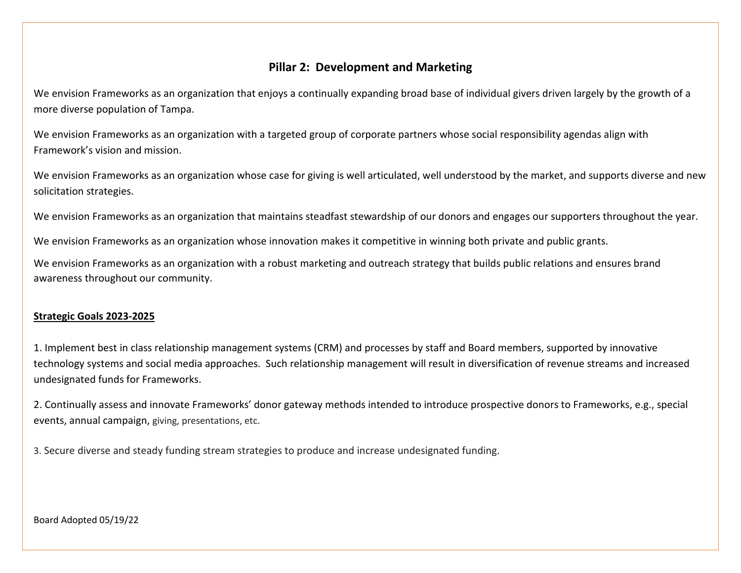# **Pillar 2: Development and Marketing**

We envision Frameworks as an organization that enjoys a continually expanding broad base of individual givers driven largely by the growth of a more diverse population of Tampa.

We envision Frameworks as an organization with a targeted group of corporate partners whose social responsibility agendas align with Framework's vision and mission.

We envision Frameworks as an organization whose case for giving is well articulated, well understood by the market, and supports diverse and new solicitation strategies.

We envision Frameworks as an organization that maintains steadfast stewardship of our donors and engages our supporters throughout the year.

We envision Frameworks as an organization whose innovation makes it competitive in winning both private and public grants.

We envision Frameworks as an organization with a robust marketing and outreach strategy that builds public relations and ensures brand awareness throughout our community.

#### **Strategic Goals 2023-2025**

1. Implement best in class relationship management systems (CRM) and processes by staff and Board members, supported by innovative technology systems and social media approaches. Such relationship management will result in diversification of revenue streams and increased undesignated funds for Frameworks.

2. Continually assess and innovate Frameworks' donor gateway methods intended to introduce prospective donors to Frameworks, e.g., special events, annual campaign, giving, presentations, etc.

3. Secure diverse and steady funding stream strategies to produce and increase undesignated funding.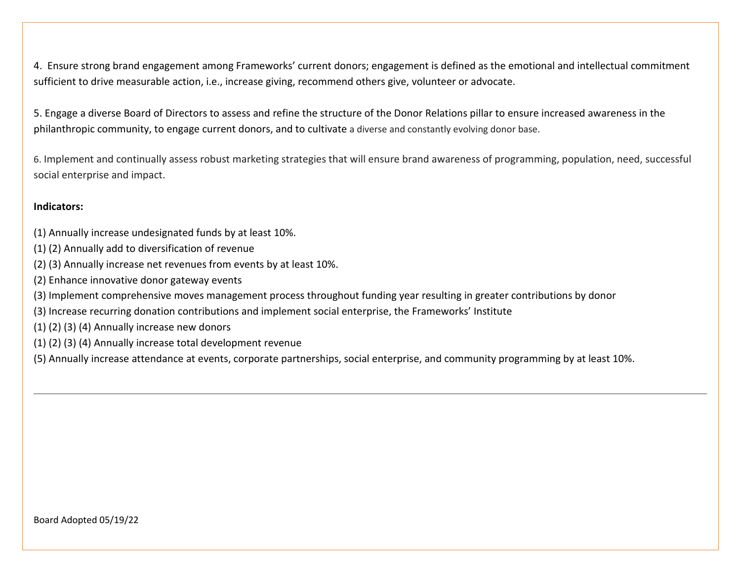4. Ensure strong brand engagement among Frameworks' current donors; engagement is defined as the emotional and intellectual commitment sufficient to drive measurable action, i.e., increase giving, recommend others give, volunteer or advocate.

5. Engage a diverse Board of Directors to assess and refine the structure of the Donor Relations pillar to ensure increased awareness in the philanthropic community, to engage current donors, and to cultivate a diverse and constantly evolving donor base.

6. Implement and continually assess robust marketing strategies that will ensure brand awareness of programming, population, need, successful social enterprise and impact.

#### **Indicators:**

- (1) Annually increase undesignated funds by at least 10%.
- (1) (2) Annually add to diversification of revenue
- (2) (3) Annually increase net revenues from events by at least 10%.
- (2) Enhance innovative donor gateway events
- (3) Implement comprehensive moves management process throughout funding year resulting in greater contributions by donor
- (3) Increase recurring donation contributions and implement social enterprise, the Frameworks' Institute
- (1) (2) (3) (4) Annually increase new donors
- (1) (2) (3) (4) Annually increase total development revenue
- (5) Annually increase attendance at events, corporate partnerships, social enterprise, and community programming by at least 10%.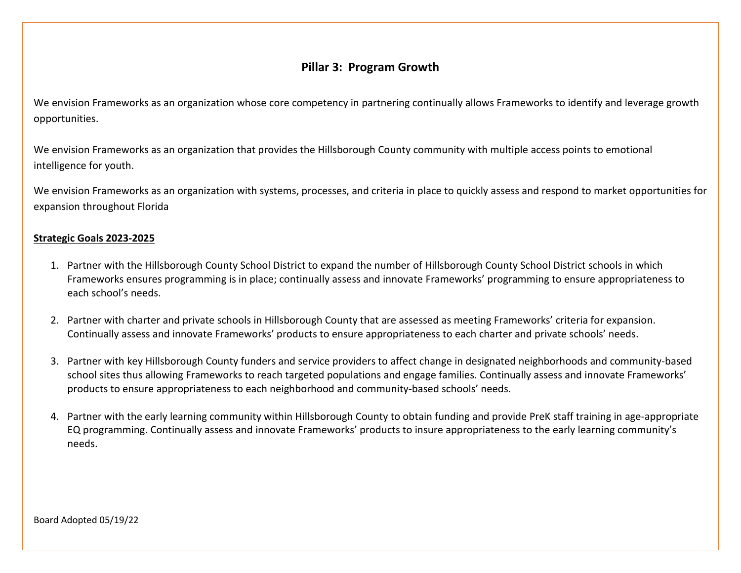# **Pillar 3: Program Growth**

We envision Frameworks as an organization whose core competency in partnering continually allows Frameworks to identify and leverage growth opportunities.

We envision Frameworks as an organization that provides the Hillsborough County community with multiple access points to emotional intelligence for youth.

We envision Frameworks as an organization with systems, processes, and criteria in place to quickly assess and respond to market opportunities for expansion throughout Florida

#### **Strategic Goals 2023-2025**

- 1. Partner with the Hillsborough County School District to expand the number of Hillsborough County School District schools in which Frameworks ensures programming is in place; continually assess and innovate Frameworks' programming to ensure appropriateness to each school's needs.
- 2. Partner with charter and private schools in Hillsborough County that are assessed as meeting Frameworks' criteria for expansion. Continually assess and innovate Frameworks' products to ensure appropriateness to each charter and private schools' needs.
- 3. Partner with key Hillsborough County funders and service providers to affect change in designated neighborhoods and community-based school sites thus allowing Frameworks to reach targeted populations and engage families. Continually assess and innovate Frameworks' products to ensure appropriateness to each neighborhood and community-based schools' needs.
- 4. Partner with the early learning community within Hillsborough County to obtain funding and provide PreK staff training in age-appropriate EQ programming. Continually assess and innovate Frameworks' products to insure appropriateness to the early learning community's needs.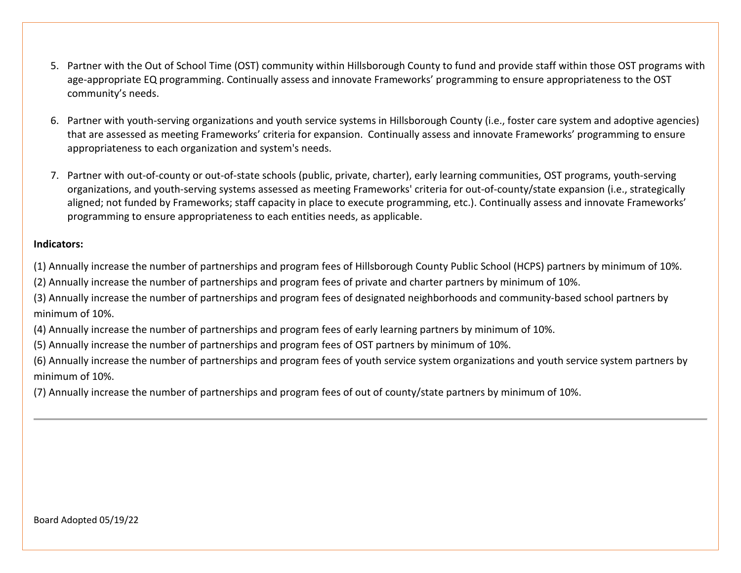- 5. Partner with the Out of School Time (OST) community within Hillsborough County to fund and provide staff within those OST programs with age-appropriate EQ programming. Continually assess and innovate Frameworks' programming to ensure appropriateness to the OST community's needs.
- 6. Partner with youth-serving organizations and youth service systems in Hillsborough County (i.e., foster care system and adoptive agencies) that are assessed as meeting Frameworks' criteria for expansion. Continually assess and innovate Frameworks' programming to ensure appropriateness to each organization and system's needs.
- 7. Partner with out-of-county or out-of-state schools (public, private, charter), early learning communities, OST programs, youth-serving organizations, and youth-serving systems assessed as meeting Frameworks' criteria for out-of-county/state expansion (i.e., strategically aligned; not funded by Frameworks; staff capacity in place to execute programming, etc.). Continually assess and innovate Frameworks' programming to ensure appropriateness to each entities needs, as applicable.

(1) Annually increase the number of partnerships and program fees of Hillsborough County Public School (HCPS) partners by minimum of 10%.

(2) Annually increase the number of partnerships and program fees of private and charter partners by minimum of 10%.

(3) Annually increase the number of partnerships and program fees of designated neighborhoods and community-based school partners by minimum of 10%.

(4) Annually increase the number of partnerships and program fees of early learning partners by minimum of 10%.

(5) Annually increase the number of partnerships and program fees of OST partners by minimum of 10%.

(6) Annually increase the number of partnerships and program fees of youth service system organizations and youth service system partners by minimum of 10%.

(7) Annually increase the number of partnerships and program fees of out of county/state partners by minimum of 10%.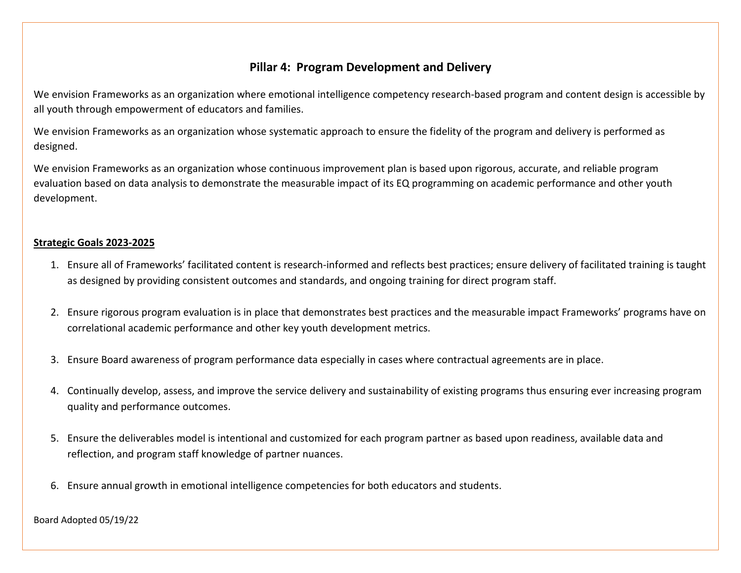# **Pillar 4: Program Development and Delivery**

We envision Frameworks as an organization where emotional intelligence competency research-based program and content design is accessible by all youth through empowerment of educators and families.

We envision Frameworks as an organization whose systematic approach to ensure the fidelity of the program and delivery is performed as designed.

We envision Frameworks as an organization whose continuous improvement plan is based upon rigorous, accurate, and reliable program evaluation based on data analysis to demonstrate the measurable impact of its EQ programming on academic performance and other youth development.

#### **Strategic Goals 2023-2025**

- 1. Ensure all of Frameworks' facilitated content is research-informed and reflects best practices; ensure delivery of facilitated training is taught as designed by providing consistent outcomes and standards, and ongoing training for direct program staff.
- 2. Ensure rigorous program evaluation is in place that demonstrates best practices and the measurable impact Frameworks' programs have on correlational academic performance and other key youth development metrics.
- 3. Ensure Board awareness of program performance data especially in cases where contractual agreements are in place.
- 4. Continually develop, assess, and improve the service delivery and sustainability of existing programs thus ensuring ever increasing program quality and performance outcomes.
- 5. Ensure the deliverables model is intentional and customized for each program partner as based upon readiness, available data and reflection, and program staff knowledge of partner nuances.
- 6. Ensure annual growth in emotional intelligence competencies for both educators and students.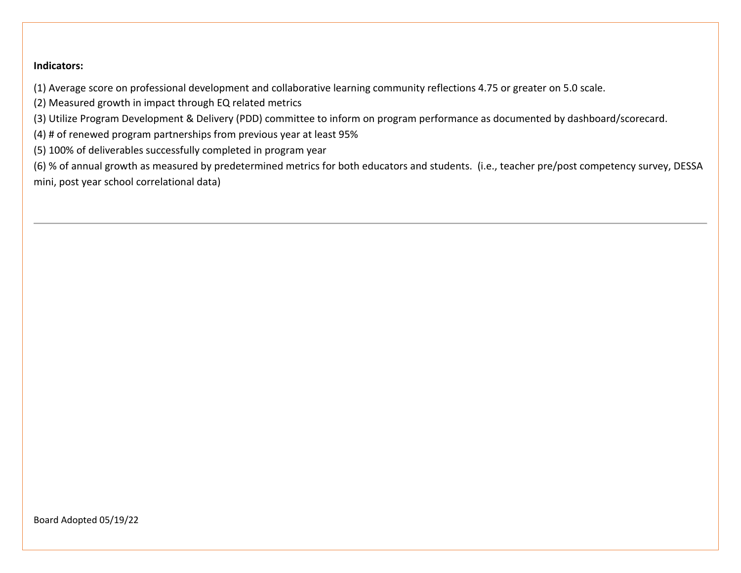(1) Average score on professional development and collaborative learning community reflections 4.75 or greater on 5.0 scale.

(2) Measured growth in impact through EQ related metrics

(3) Utilize Program Development & Delivery (PDD) committee to inform on program performance as documented by dashboard/scorecard.

(4) # of renewed program partnerships from previous year at least 95%

(5) 100% of deliverables successfully completed in program year

(6) % of annual growth as measured by predetermined metrics for both educators and students. (i.e., teacher pre/post competency survey, DESSA mini, post year school correlational data)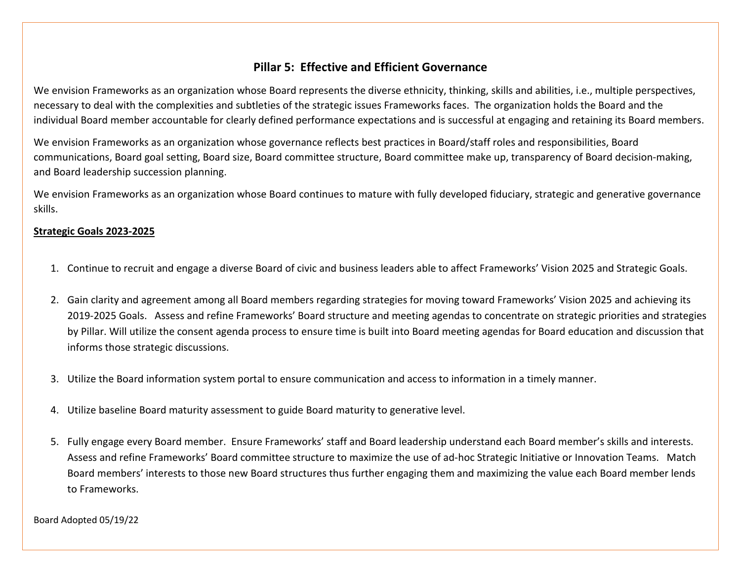## **Pillar 5: Effective and Efficient Governance**

We envision Frameworks as an organization whose Board represents the diverse ethnicity, thinking, skills and abilities, i.e., multiple perspectives, necessary to deal with the complexities and subtleties of the strategic issues Frameworks faces. The organization holds the Board and the individual Board member accountable for clearly defined performance expectations and is successful at engaging and retaining its Board members.

We envision Frameworks as an organization whose governance reflects best practices in Board/staff roles and responsibilities, Board communications, Board goal setting, Board size, Board committee structure, Board committee make up, transparency of Board decision-making, and Board leadership succession planning.

We envision Frameworks as an organization whose Board continues to mature with fully developed fiduciary, strategic and generative governance skills.

#### **Strategic Goals 2023-2025**

- 1. Continue to recruit and engage a diverse Board of civic and business leaders able to affect Frameworks' Vision 2025 and Strategic Goals.
- 2. Gain clarity and agreement among all Board members regarding strategies for moving toward Frameworks' Vision 2025 and achieving its 2019-2025 Goals. Assess and refine Frameworks' Board structure and meeting agendas to concentrate on strategic priorities and strategies by Pillar. Will utilize the consent agenda process to ensure time is built into Board meeting agendas for Board education and discussion that informs those strategic discussions.
- 3. Utilize the Board information system portal to ensure communication and access to information in a timely manner.
- 4. Utilize baseline Board maturity assessment to guide Board maturity to generative level.
- 5. Fully engage every Board member. Ensure Frameworks' staff and Board leadership understand each Board member's skills and interests. Assess and refine Frameworks' Board committee structure to maximize the use of ad-hoc Strategic Initiative or Innovation Teams. Match Board members' interests to those new Board structures thus further engaging them and maximizing the value each Board member lends to Frameworks.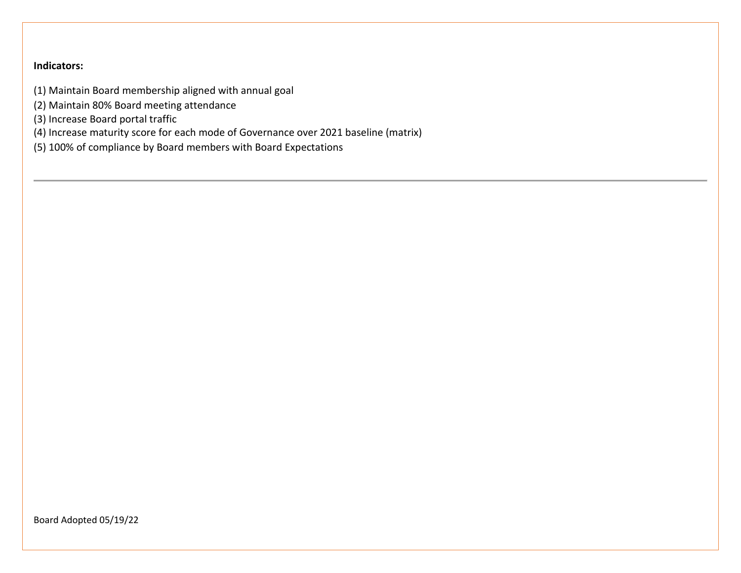- (1) Maintain Board membership aligned with annual goal
- (2) Maintain 80% Board meeting attendance
- (3) Increase Board portal traffic
- (4) Increase maturity score for each mode of Governance over 2021 baseline (matrix)
- (5) 100% of compliance by Board members with Board Expectations